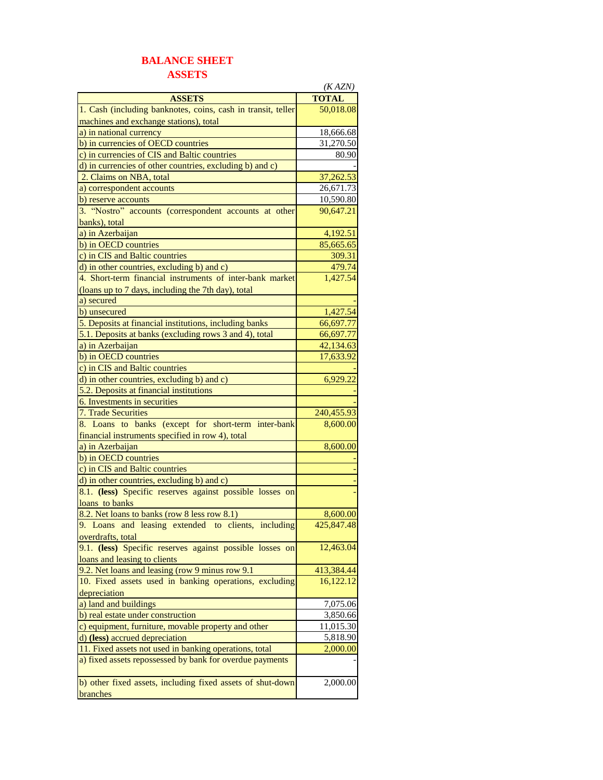## **BALANCE SHEET ASSETS**

|                                                              | (KAZN)       |
|--------------------------------------------------------------|--------------|
| <b>ASSETS</b>                                                | <b>TOTAL</b> |
| 1. Cash (including banknotes, coins, cash in transit, teller | 50,018.08    |
| machines and exchange stations), total                       |              |
| a) in national currency                                      | 18,666.68    |
| b) in currencies of OECD countries                           | 31,270.50    |
| c) in currencies of CIS and Baltic countries                 | 80.90        |
| d) in currencies of other countries, excluding b) and c)     |              |
| 2. Claims on NBA, total                                      | 37,262.53    |
| a) correspondent accounts                                    | 26,671.73    |
| b) reserve accounts                                          | 10,590.80    |
| 3. "Nostro" accounts (correspondent accounts at other        | 90,647.21    |
| banks), total                                                |              |
| a) in Azerbaijan                                             | 4,192.51     |
| b) in OECD countries                                         | 85,665.65    |
| c) in CIS and Baltic countries                               | 309.31       |
| d) in other countries, excluding b) and c)                   | 479.74       |
| 4. Short-term financial instruments of inter-bank market     | 1,427.54     |
| (loans up to 7 days, including the 7th day), total           |              |
| a) secured                                                   |              |
| b) unsecured                                                 | 1,427.54     |
| 5. Deposits at financial institutions, including banks       | 66,697.77    |
| 5.1. Deposits at banks (excluding rows 3 and 4), total       | 66,697.77    |
| a) in Azerbaijan                                             | 42,134.63    |
| b) in OECD countries                                         | 17,633.92    |
| c) in CIS and Baltic countries                               |              |
| d) in other countries, excluding b) and c)                   | 6,929.22     |
| 5.2. Deposits at financial institutions                      |              |
| 6. Investments in securities                                 |              |
| 7. Trade Securities                                          | 240,455.93   |
| 8. Loans to banks (except for short-term inter-bank          | 8,600.00     |
| financial instruments specified in row 4), total             |              |
| a) in Azerbaijan                                             | 8,600.00     |
| b) in OECD countries                                         |              |
| c) in CIS and Baltic countries                               |              |
| d) in other countries, excluding b) and c)                   |              |
| 8.1. (less) Specific reserves against possible losses on     |              |
| loans to banks                                               |              |
| 8.2. Net loans to banks (row 8 less row 8.1)                 | 8,600.00     |
| 9. Loans and leasing extended to clients, including          | 425,847.48   |
| overdrafts, total                                            |              |
| 9.1. (less) Specific reserves against possible losses on     | 12,463.04    |
| loans and leasing to clients                                 |              |
| 9.2. Net loans and leasing (row 9 minus row 9.1)             | 413,384.44   |
| 10. Fixed assets used in banking operations, excluding       | 16,122.12    |
| depreciation                                                 |              |
| a) land and buildings                                        | 7,075.06     |
| b) real estate under construction                            | 3,850.66     |
| c) equipment, furniture, movable property and other          | 11,015.30    |
| d) (less) accrued depreciation                               | 5,818.90     |
| 11. Fixed assets not used in banking operations, total       | 2,000.00     |
| a) fixed assets repossessed by bank for overdue payments     |              |
| b) other fixed assets, including fixed assets of shut-down   | 2,000.00     |
| branches                                                     |              |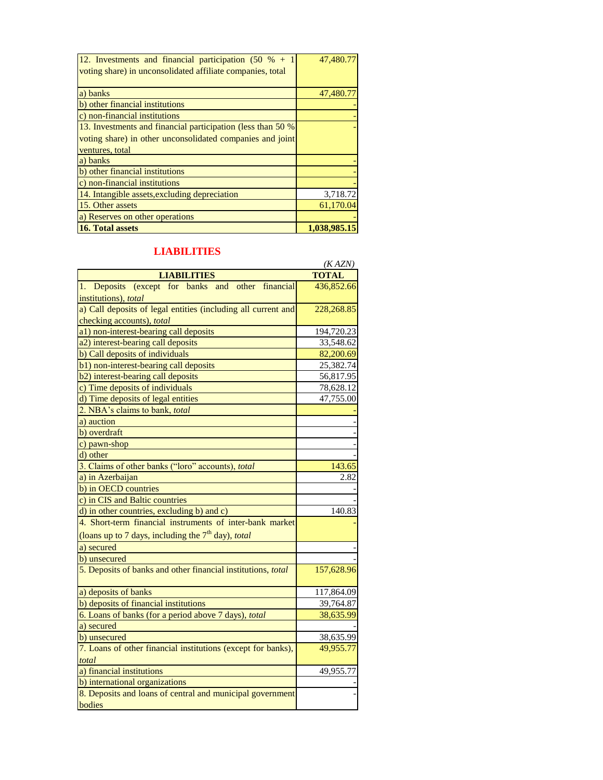| 12. Investments and financial participation $(50 \, % + 1)$<br>voting share) in unconsolidated affiliate companies, total | 47,480.77    |
|---------------------------------------------------------------------------------------------------------------------------|--------------|
| a) banks                                                                                                                  | 47,480.77    |
| b) other financial institutions                                                                                           |              |
| c) non-financial institutions                                                                                             |              |
| 13. Investments and financial participation (less than 50 %)                                                              |              |
| voting share) in other unconsolidated companies and joint                                                                 |              |
| ventures, total                                                                                                           |              |
| a) banks                                                                                                                  |              |
| b) other financial institutions                                                                                           |              |
| c) non-financial institutions                                                                                             |              |
| 14. Intangible assets, excluding depreciation                                                                             | 3,718.72     |
| 15. Other assets                                                                                                          | 61,170.04    |
| a) Reserves on other operations                                                                                           |              |
| 16. Total assets                                                                                                          | 1.038.985.15 |

## **LIABILITIES**

|                                                               | (KAZN)       |
|---------------------------------------------------------------|--------------|
| <b>LIABILITIES</b>                                            | <b>TOTAL</b> |
| Deposits (except for banks and other financial<br>1.          | 436,852.66   |
| institutions), total                                          |              |
| a) Call deposits of legal entities (including all current and | 228,268.85   |
| checking accounts), total                                     |              |
| a1) non-interest-bearing call deposits                        | 194,720.23   |
| a2) interest-bearing call deposits                            | 33,548.62    |
| b) Call deposits of individuals                               | 82,200.69    |
| b1) non-interest-bearing call deposits                        | 25,382.74    |
| b2) interest-bearing call deposits                            | 56,817.95    |
| c) Time deposits of individuals                               | 78,628.12    |
| d) Time deposits of legal entities                            | 47,755.00    |
| 2. NBA's claims to bank, <i>total</i>                         |              |
| a) auction                                                    |              |
| b) overdraft                                                  |              |
| c) pawn-shop                                                  |              |
| d) other                                                      |              |
| 3. Claims of other banks ("loro" accounts), total             | 143.65       |
| a) in Azerbaijan                                              | 2.82         |
| b) in OECD countries                                          |              |
| c) in CIS and Baltic countries                                |              |
| d) in other countries, excluding b) and c)                    | 140.83       |
| 4. Short-term financial instruments of inter-bank market      |              |
| (loans up to 7 days, including the $7th$ day), total          |              |
| a) secured                                                    |              |
| b) unsecured                                                  |              |
| 5. Deposits of banks and other financial institutions, total  | 157,628.96   |
| a) deposits of banks                                          | 117,864.09   |
| b) deposits of financial institutions                         | 39,764.87    |
| 6. Loans of banks (for a period above 7 days), total          | 38,635.99    |
| a) secured                                                    |              |
| b) unsecured                                                  | 38,635.99    |
| 7. Loans of other financial institutions (except for banks),  | 49,955.77    |
| total                                                         |              |
| a) financial institutions                                     | 49,955.77    |
| b) international organizations                                |              |
| 8. Deposits and loans of central and municipal government     |              |
| bodies                                                        |              |